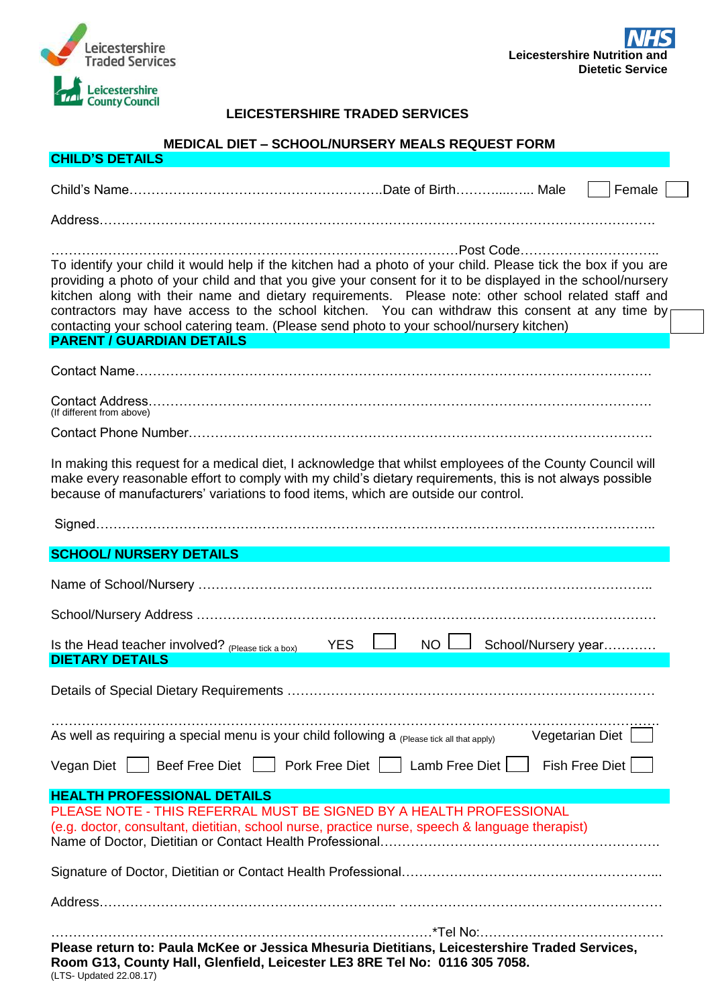

**CHILD'S DETAIL** 

## **LEICESTERSHIRE TRADED SERVICES**

## **MEDICAL DIET – SCHOOL/NURSERY MEALS REQUEST FORM**

| <u>UNILD O DE I MILO</u>                                                                                                                                                                                                                                                                                                                                                                                                                                                                                                                                                             |
|--------------------------------------------------------------------------------------------------------------------------------------------------------------------------------------------------------------------------------------------------------------------------------------------------------------------------------------------------------------------------------------------------------------------------------------------------------------------------------------------------------------------------------------------------------------------------------------|
| Female                                                                                                                                                                                                                                                                                                                                                                                                                                                                                                                                                                               |
|                                                                                                                                                                                                                                                                                                                                                                                                                                                                                                                                                                                      |
| .Post Code<br>To identify your child it would help if the kitchen had a photo of your child. Please tick the box if you are<br>providing a photo of your child and that you give your consent for it to be displayed in the school/nursery<br>kitchen along with their name and dietary requirements. Please note: other school related staff and<br>contractors may have access to the school kitchen. You can withdraw this consent at any time by<br>contacting your school catering team. (Please send photo to your school/nursery kitchen)<br><b>PARENT / GUARDIAN DETAILS</b> |
|                                                                                                                                                                                                                                                                                                                                                                                                                                                                                                                                                                                      |
| (If different from above)                                                                                                                                                                                                                                                                                                                                                                                                                                                                                                                                                            |
|                                                                                                                                                                                                                                                                                                                                                                                                                                                                                                                                                                                      |
| In making this request for a medical diet, I acknowledge that whilst employees of the County Council will<br>make every reasonable effort to comply with my child's dietary requirements, this is not always possible<br>because of manufacturers' variations to food items, which are outside our control.                                                                                                                                                                                                                                                                          |
|                                                                                                                                                                                                                                                                                                                                                                                                                                                                                                                                                                                      |
| <b>SCHOOL/ NURSERY DETAILS</b>                                                                                                                                                                                                                                                                                                                                                                                                                                                                                                                                                       |
|                                                                                                                                                                                                                                                                                                                                                                                                                                                                                                                                                                                      |
|                                                                                                                                                                                                                                                                                                                                                                                                                                                                                                                                                                                      |
| Is the Head teacher involved? (Please tick a box)<br><b>YES</b><br>NO I<br>School/Nursery year<br><b>DIETARY DETAILS</b>                                                                                                                                                                                                                                                                                                                                                                                                                                                             |
|                                                                                                                                                                                                                                                                                                                                                                                                                                                                                                                                                                                      |
| As well as requiring a special menu is your child following a (Please tick all that apply)<br>Vegetarian Diet                                                                                                                                                                                                                                                                                                                                                                                                                                                                        |
| Beef Free Diet     Pork Free Diet     Lamb Free Diet  <br><b>Fish Free Diet</b><br>Vegan Diet $\vert \vert$                                                                                                                                                                                                                                                                                                                                                                                                                                                                          |
| <b>HEALTH PROFESSIONAL DETAILS</b>                                                                                                                                                                                                                                                                                                                                                                                                                                                                                                                                                   |
| PLEASE NOTE - THIS REFERRAL MUST BE SIGNED BY A HEALTH PROFESSIONAL<br>(e.g. doctor, consultant, dietitian, school nurse, practice nurse, speech & language therapist)                                                                                                                                                                                                                                                                                                                                                                                                               |
|                                                                                                                                                                                                                                                                                                                                                                                                                                                                                                                                                                                      |
|                                                                                                                                                                                                                                                                                                                                                                                                                                                                                                                                                                                      |
| Please return to: Paula McKee or Jessica Mhesuria Dietitians, Leicestershire Traded Services,<br>Room G13, County Hall, Glenfield, Leicester LE3 8RE Tel No: 0116 305 7058.<br>(LTS- Updated 22.08.17)                                                                                                                                                                                                                                                                                                                                                                               |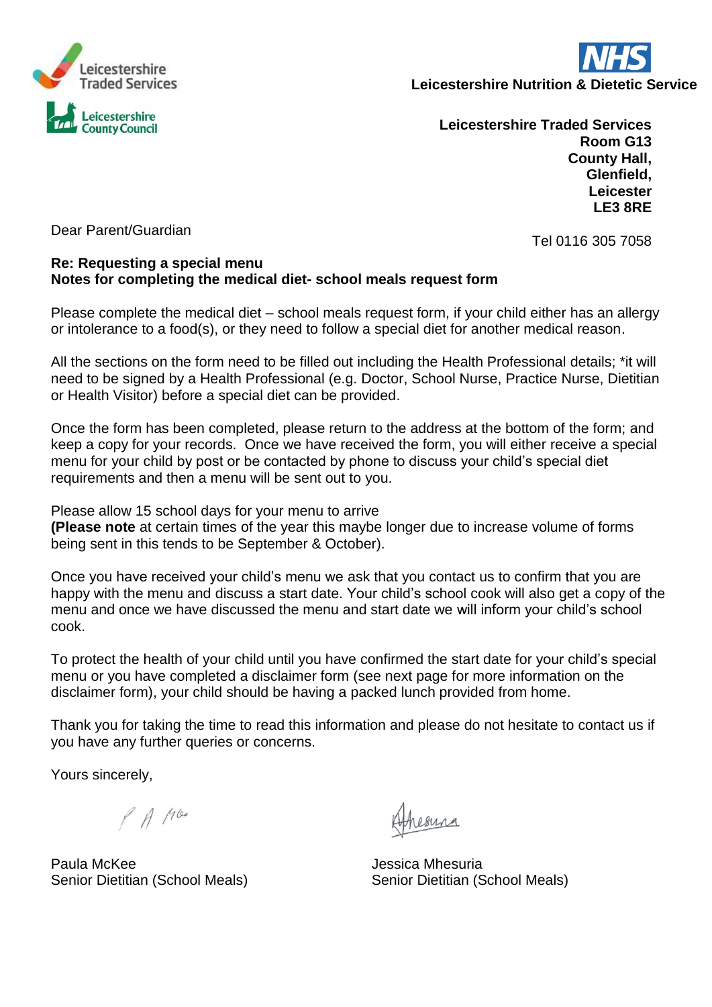

**Leicestershire Nutrition & Dietetic Service** 

**Leicestershire Traded Services Room G13 County Hall, Glenfield, Leicester LE3 8RE**

Dear Parent/Guardian

Tel 0116 305 7058

#### **Re: Requesting a special menu Notes for completing the medical diet- school meals request form**

Please complete the medical diet – school meals request form, if your child either has an allergy or intolerance to a food(s), or they need to follow a special diet for another medical reason.

All the sections on the form need to be filled out including the Health Professional details; \*it will need to be signed by a Health Professional (e.g. Doctor, School Nurse, Practice Nurse, Dietitian or Health Visitor) before a special diet can be provided.

Once the form has been completed, please return to the address at the bottom of the form; and keep a copy for your records. Once we have received the form, you will either receive a special menu for your child by post or be contacted by phone to discuss your child's special diet requirements and then a menu will be sent out to you.

Please allow 15 school days for your menu to arrive **(Please note** at certain times of the year this maybe longer due to increase volume of forms being sent in this tends to be September & October).

Once you have received your child's menu we ask that you contact us to confirm that you are happy with the menu and discuss a start date. Your child's school cook will also get a copy of the menu and once we have discussed the menu and start date we will inform your child's school cook.

To protect the health of your child until you have confirmed the start date for your child's special menu or you have completed a disclaimer form (see next page for more information on the disclaimer form), your child should be having a packed lunch provided from home.

Thank you for taking the time to read this information and please do not hesitate to contact us if you have any further queries or concerns.

Yours sincerely,

 $P$  A 1100

Paula McKee **Jessica Mhesuria** 

Senior Dietitian (School Meals) Senior Dietitian (School Meals)